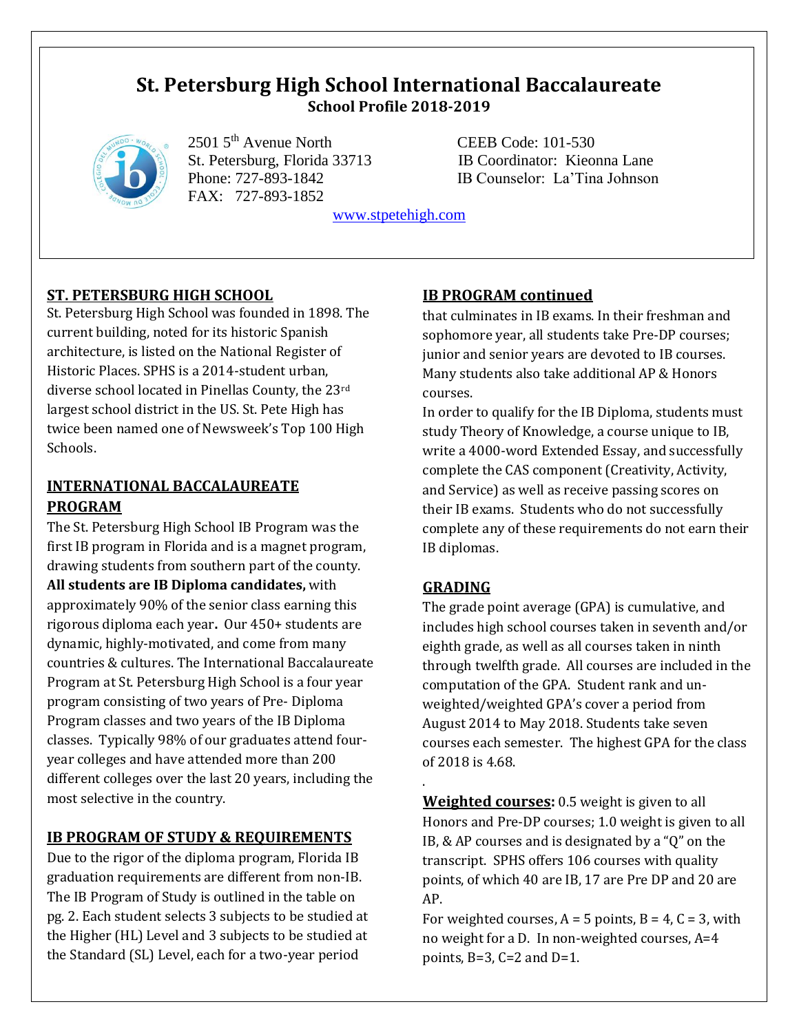# **St. Petersburg High School International Baccalaureate School Profile 2018-2019**



2501 5<sup>th</sup> Avenue North CEEB Code: 101-530 FAX: 727-893-1852

 St. Petersburg, Florida 33713 IB Coordinator: Kieonna Lane Phone: 727-893-1842 IB Counselor: La'Tina Johnson

[www.stpetehigh.com](http://www.stpetehigh.com/)

## **ST. PETERSBURG HIGH SCHOOL**

St. Petersburg High School was founded in 1898. The current building, noted for its historic Spanish architecture, is listed on the National Register of Historic Places. SPHS is a 2014-student urban, diverse school located in Pinellas County, the 23rd largest school district in the US. St. Pete High has twice been named one of Newsweek's Top 100 High Schools.

## **INTERNATIONAL BACCALAUREATE PROGRAM**

The St. Petersburg High School IB Program was the first IB program in Florida and is a magnet program, drawing students from southern part of the county. **All students are IB Diploma candidates,** with approximately 90% of the senior class earning this rigorous diploma each year**.** Our 450+ students are dynamic, highly-motivated, and come from many countries & cultures. The International Baccalaureate Program at St. Petersburg High School is a four year program consisting of two years of Pre- Diploma Program classes and two years of the IB Diploma classes. Typically 98% of our graduates attend fouryear colleges and have attended more than 200 different colleges over the last 20 years, including the most selective in the country.

## **IB PROGRAM OF STUDY & REQUIREMENTS**

Due to the rigor of the diploma program, Florida IB graduation requirements are different from non-IB. The IB Program of Study is outlined in the table on pg. 2. Each student selects 3 subjects to be studied at the Higher (HL) Level and 3 subjects to be studied at the Standard (SL) Level, each for a two-year period

## **IB PROGRAM continued**

that culminates in IB exams. In their freshman and sophomore year, all students take Pre-DP courses; junior and senior years are devoted to IB courses. Many students also take additional AP & Honors courses.

In order to qualify for the IB Diploma, students must study Theory of Knowledge, a course unique to IB, write a 4000-word Extended Essay, and successfully complete the CAS component (Creativity, Activity, and Service) as well as receive passing scores on their IB exams. Students who do not successfully complete any of these requirements do not earn their IB diplomas.

### **GRADING**

.

The grade point average (GPA) is cumulative, and includes high school courses taken in seventh and/or eighth grade, as well as all courses taken in ninth through twelfth grade. All courses are included in the computation of the GPA. Student rank and unweighted/weighted GPA's cover a period from August 2014 to May 2018. Students take seven courses each semester. The highest GPA for the class of 2018 is 4.68.

**Weighted courses:** 0.5 weight is given to all Honors and Pre-DP courses; 1.0 weight is given to all IB, & AP courses and is designated by a "Q" on the transcript. SPHS offers 106 courses with quality points, of which 40 are IB, 17 are Pre DP and 20 are AP.

For weighted courses,  $A = 5$  points,  $B = 4$ ,  $C = 3$ , with no weight for a D. In non-weighted courses, A=4 points,  $B=3$ ,  $C=2$  and  $D=1$ .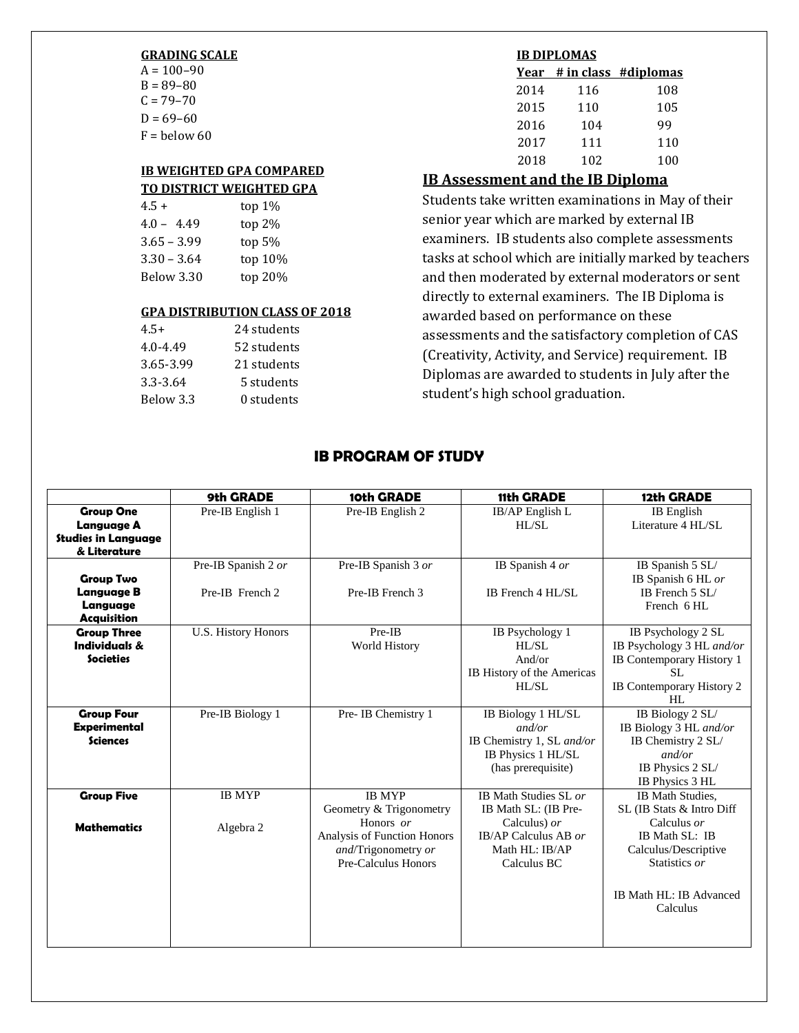#### **GRADING SCALE**

 $A = 100 - 90$  $B = 89 - 80$  $C = 79 - 70$  $D = 69 - 60$  $F =$  below 60

#### **IB WEIGHTED GPA COMPARED TO DISTRICT WEIGHTED GPA**

| $4.5+$        | top $1\%$ |
|---------------|-----------|
| $4.0 - 4.49$  | top 2%    |
| $3.65 - 3.99$ | top $5%$  |
| $3.30 - 3.64$ | top 10%   |
| Below 3.30    | top 20%   |

#### **GPA DISTRIBUTION CLASS OF 2018**

| $4.5+$    | 24 students |
|-----------|-------------|
| 4.0-4.49  | 52 students |
| 3.65-3.99 | 21 students |
| 3.3-3.64  | 5 students  |
| Below 3.3 | 0 students  |
|           |             |

#### **IB DIPLOMAS**

|      |     | Year # in class #diplomas |
|------|-----|---------------------------|
| 2014 | 116 | 108                       |
| 2015 | 110 | 105                       |
| 2016 | 104 | 99                        |
| 2017 | 111 | 110                       |
| 2018 | 102 | 100                       |
|      |     |                           |

### **IB Assessment and the IB Diploma**

Students take written examinations in May of their senior year which are marked by external IB examiners. IB students also complete assessments tasks at school which are initially marked by teachers and then moderated by external moderators or sent directly to external examiners. The IB Diploma is awarded based on performance on these assessments and the satisfactory completion of CAS (Creativity, Activity, and Service) requirement. IB Diplomas are awarded to students in July after the student's high school graduation.

### **IB PROGRAM OF STUDY**

|                                                                                     | 9th GRADE                              | 10th GRADE                                                                                                                         | 11th GRADE                                                                                                                 | 12th GRADE                                                                                                                                                     |
|-------------------------------------------------------------------------------------|----------------------------------------|------------------------------------------------------------------------------------------------------------------------------------|----------------------------------------------------------------------------------------------------------------------------|----------------------------------------------------------------------------------------------------------------------------------------------------------------|
| <b>Group One</b><br><b>Language A</b><br><b>Studies in Language</b><br>& Literature | Pre-IB English 1                       | Pre-IB English 2                                                                                                                   | IB/AP English L<br>H L/SL                                                                                                  | <b>IB</b> English<br>Literature 4 HL/SL                                                                                                                        |
| <b>Group Two</b><br><b>Language B</b><br>Language<br><b>Acquisition</b>             | Pre-IB Spanish 2 or<br>Pre-IB French 2 | Pre-IB Spanish 3 or<br>Pre-IB French 3                                                                                             | IB Spanish 4 or<br>IB French 4 HL/SL                                                                                       | IB Spanish 5 SL/<br>IB Spanish 6 HL or<br>IB French 5 SL/<br>French 6 HL                                                                                       |
| <b>Group Three</b><br><b>Individuals &amp;</b><br><b>Societies</b>                  | U.S. History Honors                    | Pre-IB<br>World History                                                                                                            | IB Psychology 1<br>HI / SI.<br>And/or<br>IB History of the Americas<br>HL/SL                                               | IB Psychology 2 SL<br>IB Psychology 3 HL and/or<br>IB Contemporary History 1<br>SL.<br>IB Contemporary History 2<br>HL                                         |
| <b>Group Four</b><br><b>Experimental</b><br><b>Sciences</b>                         | Pre-IB Biology 1                       | Pre- IB Chemistry 1                                                                                                                | IB Biology 1 HL/SL<br>and/or<br>IB Chemistry 1, SL and/or<br>IB Physics 1 HL/SL<br>(has prerequisite)                      | IB Biology 2 SL/<br>IB Biology 3 HL and/or<br>IB Chemistry 2 SL/<br>and/or<br>IB Physics 2 SL/<br>IB Physics 3 HL                                              |
| <b>Group Five</b><br><b>Mathematics</b>                                             | <b>IB MYP</b><br>Algebra 2             | <b>IB MYP</b><br>Geometry & Trigonometry<br>Honors or<br>Analysis of Function Honors<br>and/Trigonometry or<br>Pre-Calculus Honors | IB Math Studies SL or<br>IB Math SL: (IB Pre-<br>Calculus) $or$<br>IB/AP Calculus AB $or$<br>Math HL: IB/AP<br>Calculus BC | IB Math Studies.<br>SL (IB Stats & Intro Diff<br>Calculus or<br>IB Math SL: IB<br>Calculus/Descriptive<br>Statistics or<br>IB Math HL: IB Advanced<br>Calculus |